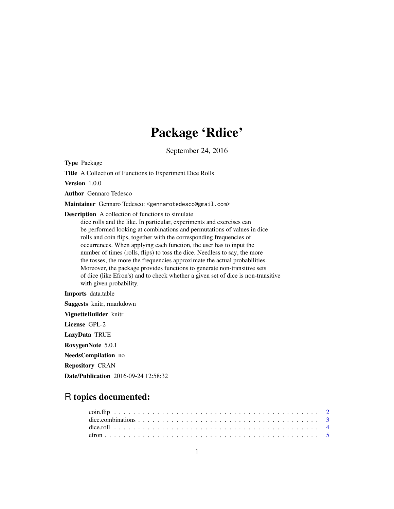## Package 'Rdice'

September 24, 2016

Type Package

Title A Collection of Functions to Experiment Dice Rolls

Version 1.0.0

Author Gennaro Tedesco

Maintainer Gennaro Tedesco: <gennarotedesco@gmail.com>

Description A collection of functions to simulate

dice rolls and the like. In particular, experiments and exercises can be performed looking at combinations and permutations of values in dice rolls and coin flips, together with the corresponding frequencies of occurrences. When applying each function, the user has to input the number of times (rolls, flips) to toss the dice. Needless to say, the more the tosses, the more the frequencies approximate the actual probabilities. Moreover, the package provides functions to generate non-transitive sets of dice (like Efron's) and to check whether a given set of dice is non-transitive with given probability.

Imports data.table

Suggests knitr, rmarkdown

VignetteBuilder knitr

License GPL-2

LazyData TRUE

RoxygenNote 5.0.1

NeedsCompilation no

Repository CRAN

Date/Publication 2016-09-24 12:58:32

### R topics documented: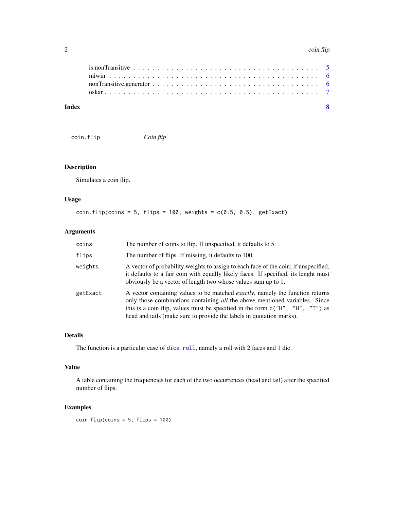#### <span id="page-1-0"></span>2 coin.flip

| Index |  |  |  |  |  |  |  |  |  |  |  |  |  |  |  |  |  |
|-------|--|--|--|--|--|--|--|--|--|--|--|--|--|--|--|--|--|
|       |  |  |  |  |  |  |  |  |  |  |  |  |  |  |  |  |  |
|       |  |  |  |  |  |  |  |  |  |  |  |  |  |  |  |  |  |
|       |  |  |  |  |  |  |  |  |  |  |  |  |  |  |  |  |  |
|       |  |  |  |  |  |  |  |  |  |  |  |  |  |  |  |  |  |

<span id="page-1-1"></span>

coin.flip *Coin flip*

#### Description

Simulates a coin flip.

#### Usage

 $coin-flip( coins = 5, flips = 100, weights = c(0.5, 0.5), getExact)$ 

#### Arguments

| coins    | The number of coins to flip. If unspecified, it defaults to 5.                                                                                                                                                                                                                                                                  |
|----------|---------------------------------------------------------------------------------------------------------------------------------------------------------------------------------------------------------------------------------------------------------------------------------------------------------------------------------|
| flips    | The number of flips. If missing, it defaults to 100.                                                                                                                                                                                                                                                                            |
| weights  | A vector of probability weights to assign to each face of the coin; if unspecified,<br>it defaults to a fair coin with equally likely faces. If specified, its lenght must<br>obviously be a vector of length two whose values sum up to 1.                                                                                     |
| getExact | A vector containing values to be matched <i>exactly</i> , namely the function returns<br>only those combinations containing all the above mentioned variables. Since<br>this is a coin flip, values must be specified in the form $c("H", "H", "T")$ as<br>head and tails (make sure to provide the labels in quotation marks). |

#### Details

The function is a particular case of [dice.roll](#page-3-1), namely a roll with 2 faces and 1 die.

#### Value

A table containing the frequencies for each of the two occurrences (head and tail) after the specified number of flips.

#### Examples

 $coin-flip( coins = 5, flips = 100)$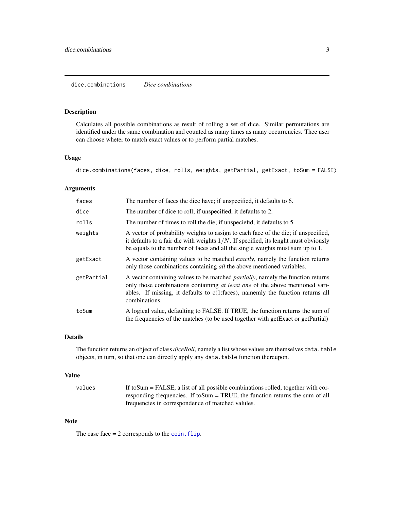#### <span id="page-2-0"></span>dice.combinations *Dice combinations*

#### Description

Calculates all possible combinations as result of rolling a set of dice. Similar permutations are identified under the same combination and counted as many times as many occurrencies. Thee user can choose wheter to match exact values or to perform partial matches.

#### Usage

dice.combinations(faces, dice, rolls, weights, getPartial, getExact, toSum = FALSE)

#### Arguments

| faces      | The number of faces the dice have; if unspecified, it defaults to 6.                                                                                                                                                                                                                        |
|------------|---------------------------------------------------------------------------------------------------------------------------------------------------------------------------------------------------------------------------------------------------------------------------------------------|
| dice       | The number of dice to roll; if unspecified, it defaults to 2.                                                                                                                                                                                                                               |
| rolls      | The number of times to roll the die; if unspeciefid, it defaults to 5.                                                                                                                                                                                                                      |
| weights    | A vector of probability weights to assign to each face of the die; if unspecified,<br>it defaults to a fair die with weights $1/N$ . If specified, its lenght must obviously<br>be equals to the number of faces and all the single weights must sum up to 1.                               |
| getExact   | A vector containing values to be matched <i>exactly</i> , namely the function returns<br>only those combinations containing <i>all</i> the above mentioned variables.                                                                                                                       |
| getPartial | A vector containing values to be matched <i>partially</i> , namely the function returns<br>only those combinations containing <i>at least one</i> of the above mentioned vari-<br>ables. If missing, it defaults to $c(1:\text{faces})$ , namemly the function returns all<br>combinations. |
| toSum      | A logical value, defaulting to FALSE. If TRUE, the function returns the sum of<br>the frequencies of the matches (to be used together with getExact or getPartial)                                                                                                                          |

#### Details

The function returns an object of class *diceRoll*, namely a list whose values are themselves data.table objects, in turn, so that one can directly apply any data.table function thereupon.

#### Value

| values | If to Sum $=$ FALSE, a list of all possible combinations rolled, together with cor- |
|--------|-------------------------------------------------------------------------------------|
|        | responding frequencies. If to Sum $=$ TRUE, the function returns the sum of all     |
|        | frequencies in correspondence of matched valules.                                   |

#### Note

The case face  $= 2$  corresponds to the coin. flip.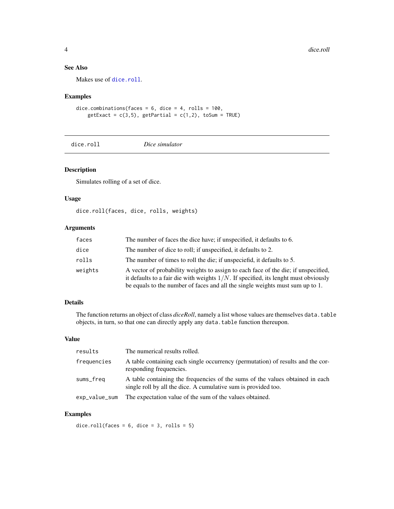#### See Also

Makes use of [dice.roll](#page-3-1).

#### Examples

dice.combinations(faces =  $6$ , dice =  $4$ , rolls =  $100$ ,  $getExact = c(3,5)$ ,  $getPartial = c(1,2)$ ,  $toSum = TRUE$ )

#### <span id="page-3-1"></span>dice.roll *Dice simulator*

#### Description

Simulates rolling of a set of dice.

#### Usage

dice.roll(faces, dice, rolls, weights)

#### Arguments

| faces   | The number of faces the dice have; if unspecified, it defaults to 6.                                                                                                                                                                                          |
|---------|---------------------------------------------------------------------------------------------------------------------------------------------------------------------------------------------------------------------------------------------------------------|
| dice    | The number of dice to roll; if unspecified, it defaults to 2.                                                                                                                                                                                                 |
| rolls   | The number of times to roll the die; if unspeciefid, it defaults to 5.                                                                                                                                                                                        |
| weights | A vector of probability weights to assign to each face of the die; if unspecified,<br>it defaults to a fair die with weights $1/N$ . If specified, its lenght must obviously<br>be equals to the number of faces and all the single weights must sum up to 1. |

#### Details

The function returns an object of class *diceRoll*, namely a list whose values are themselves data.table objects, in turn, so that one can directly apply any data.table function thereupon.

#### Value

| results       | The numerical results rolled.                                                                                                                   |
|---------------|-------------------------------------------------------------------------------------------------------------------------------------------------|
| frequencies   | A table containing each single occurrency (permutation) of results and the cor-<br>responding frequencies.                                      |
| sums_freq     | A table containing the frequencies of the sums of the values obtained in each<br>single roll by all the dice. A cumulative sum is provided too. |
| exp_value_sum | The expectation value of the sum of the values obtained.                                                                                        |

#### Examples

dice.roll(faces =  $6$ , dice =  $3$ , rolls =  $5$ )

<span id="page-3-0"></span>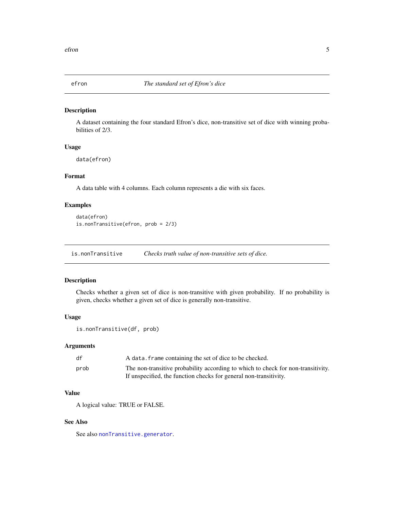<span id="page-4-0"></span>

#### Description

A dataset containing the four standard Efron's dice, non-transitive set of dice with winning probabilities of 2/3.

#### Usage

data(efron)

#### Format

A data table with 4 columns. Each column represents a die with six faces.

#### Examples

data(efron) is.nonTransitive(efron, prob = 2/3)

<span id="page-4-1"></span>is.nonTransitive *Checks truth value of non-transitive sets of dice.*

#### Description

Checks whether a given set of dice is non-transitive with given probability. If no probability is given, checks whether a given set of dice is generally non-transitive.

#### Usage

```
is.nonTransitive(df, prob)
```
#### Arguments

| df   | A data. frame containing the set of dice to be checked.                          |
|------|----------------------------------------------------------------------------------|
| prob | The non-transitive probability according to which to check for non-transitivity. |
|      | If unspecified, the function checks for general non-transitivity.                |

#### Value

A logical value: TRUE or FALSE.

#### See Also

See also [nonTransitive.generator](#page-5-1).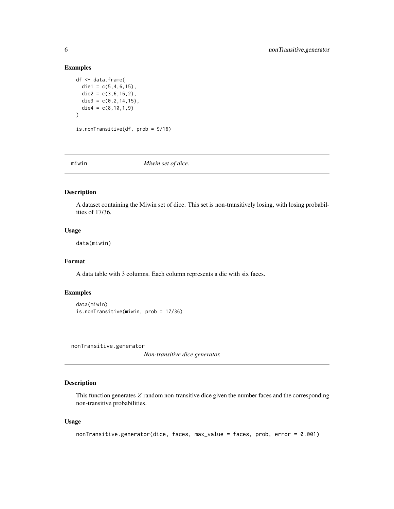#### Examples

```
df <- data.frame(
  die1 = c(5, 4, 6, 15),
  die2 = c(3,6,16,2),
  die3 = c(0, 2, 14, 15),
  die4 = c(8,10,1,9)\mathcal{L}is.nonTransitive(df, prob = 9/16)
```
miwin *Miwin set of dice.*

#### Description

A dataset containing the Miwin set of dice. This set is non-transitively losing, with losing probabilities of 17/36.

#### Usage

data(miwin)

#### Format

A data table with 3 columns. Each column represents a die with six faces.

#### Examples

```
data(miwin)
is.nonTransitive(miwin, prob = 17/36)
```
<span id="page-5-1"></span>nonTransitive.generator

*Non-transitive dice generator.*

#### Description

This function generates  $Z$  random non-transitive dice given the number faces and the corresponding non-transitive probabilities.

#### Usage

```
nonTransitive.generator(dice, faces, max_value = faces, prob, error = 0.001)
```
<span id="page-5-0"></span>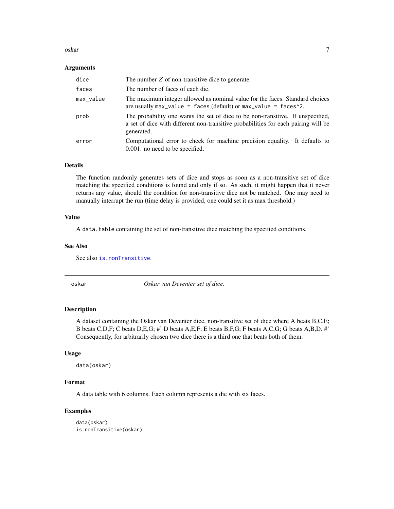#### <span id="page-6-0"></span>oskar 7

#### Arguments

| dice      | The number $Z$ of non-transitive dice to generate.                                                                                                                                  |
|-----------|-------------------------------------------------------------------------------------------------------------------------------------------------------------------------------------|
| faces     | The number of faces of each die.                                                                                                                                                    |
| max_value | The maximum integer allowed as nominal value for the faces. Standard choices<br>are usually $max_value = faces (default) or max_value = faces^2$ .                                  |
| prob      | The probability one wants the set of dice to be non-transitive. If unspecified,<br>a set of dice with different non-transitive probabilities for each pairing will be<br>generated. |
| error     | Computational error to check for machine precision equality. It defaults to<br>$0.001$ : no need to be specified.                                                                   |

#### Details

The function randomly generates sets of dice and stops as soon as a non-transitive set of dice matching the specified conditions is found and only if so. As such, it might happen that it never returns any value, should the condition for non-transitive dice not be matched. One may need to manually interrupt the run (time delay is provided, one could set it as max threshold.)

#### Value

A data.table containing the set of non-transitive dice matching the specified conditions.

#### See Also

See also [is.nonTransitive](#page-4-1).

oskar *Oskar van Deventer set of dice.*

#### Description

A dataset containing the Oskar van Deventer dice, non-transitive set of dice where A beats B,C,E; B beats C,D,F; C beats D,E,G; #' D beats A,E,F; E beats B,F,G; F beats A,C,G; G beats A,B,D. #' Consequently, for arbitrarily chosen two dice there is a third one that beats both of them.

#### Usage

data(oskar)

#### Format

A data table with 6 columns. Each column represents a die with six faces.

#### Examples

```
data(oskar)
is.nonTransitive(oskar)
```